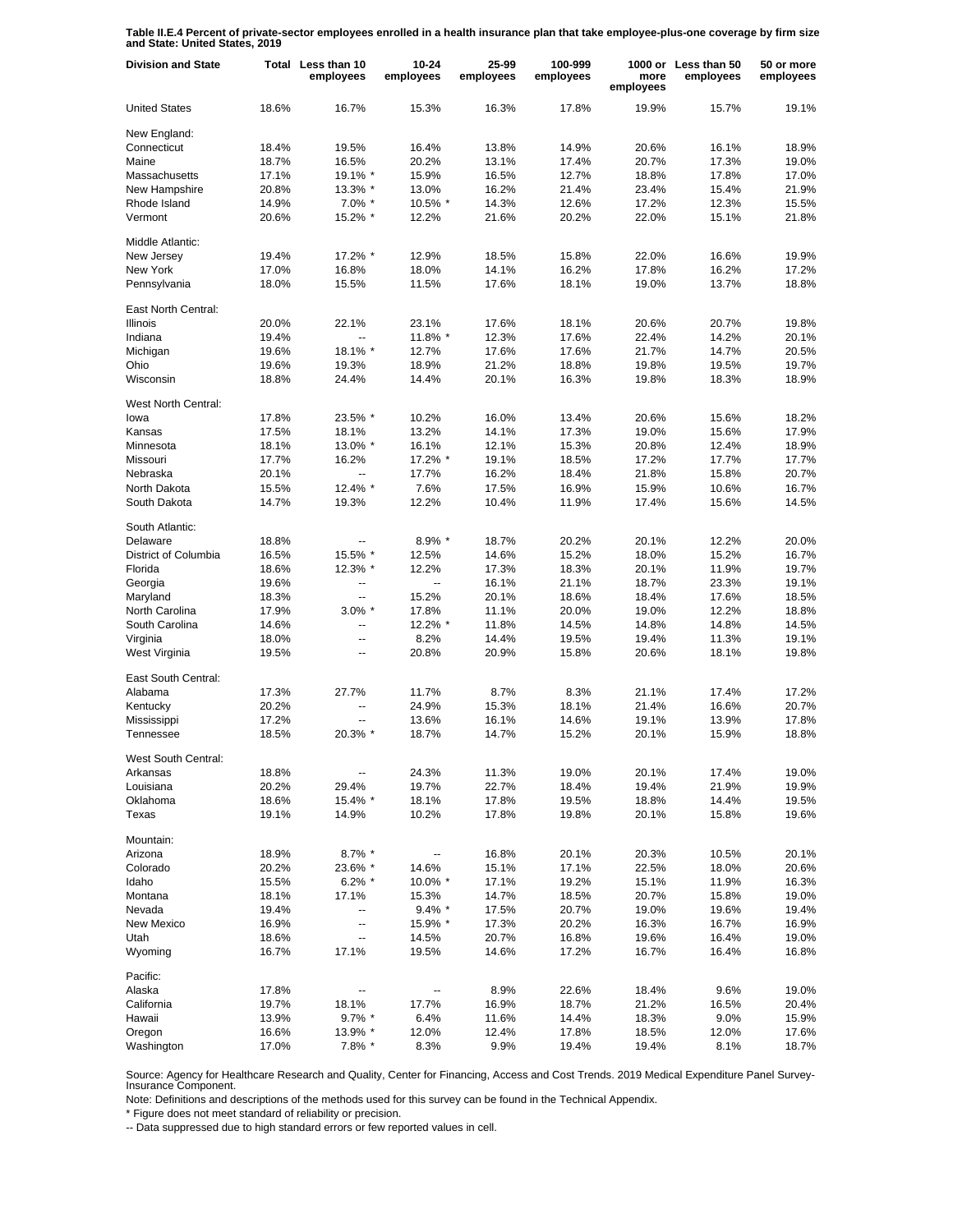**Table II.E.4 Percent of private-sector employees enrolled in a health insurance plan that take employee-plus-one coverage by firm size and State: United States, 2019**

| <b>Division and State</b> |       | Total Less than 10<br>employees | $10 - 24$<br>employees | 25-99<br>employees | 100-999<br>employees | more<br>employees | 1000 or Less than 50<br>employees | 50 or more<br>employees |
|---------------------------|-------|---------------------------------|------------------------|--------------------|----------------------|-------------------|-----------------------------------|-------------------------|
| <b>United States</b>      | 18.6% | 16.7%                           | 15.3%                  | 16.3%              | 17.8%                | 19.9%             | 15.7%                             | 19.1%                   |
| New England:              |       |                                 |                        |                    |                      |                   |                                   |                         |
| Connecticut               | 18.4% | 19.5%                           | 16.4%                  | 13.8%              | 14.9%                | 20.6%             | 16.1%                             | 18.9%                   |
| Maine                     | 18.7% | 16.5%                           | 20.2%                  | 13.1%              | 17.4%                | 20.7%             | 17.3%                             | 19.0%                   |
| Massachusetts             | 17.1% | 19.1% *                         | 15.9%                  | 16.5%              | 12.7%                | 18.8%             | 17.8%                             | 17.0%                   |
| New Hampshire             | 20.8% | 13.3% *                         | 13.0%                  | 16.2%              | 21.4%                | 23.4%             | 15.4%                             | 21.9%                   |
| Rhode Island              | 14.9% | $7.0\%$ *                       | 10.5% *                | 14.3%              | 12.6%                | 17.2%             | 12.3%                             | 15.5%                   |
| Vermont                   | 20.6% | 15.2% *                         | 12.2%                  | 21.6%              | 20.2%                | 22.0%             | 15.1%                             | 21.8%                   |
| Middle Atlantic:          |       |                                 |                        |                    |                      |                   |                                   |                         |
| New Jersev                | 19.4% | 17.2% *                         | 12.9%                  | 18.5%              | 15.8%                | 22.0%             | 16.6%                             | 19.9%                   |
| New York                  | 17.0% | 16.8%                           | 18.0%                  | 14.1%              | 16.2%                | 17.8%             | 16.2%                             | 17.2%                   |
| Pennsylvania              | 18.0% | 15.5%                           | 11.5%                  | 17.6%              | 18.1%                | 19.0%             | 13.7%                             | 18.8%                   |
| East North Central:       |       |                                 |                        |                    |                      |                   |                                   |                         |
| Illinois                  | 20.0% | 22.1%                           | 23.1%                  | 17.6%              | 18.1%                | 20.6%             | 20.7%                             | 19.8%                   |
| Indiana                   | 19.4% | $\overline{a}$                  | 11.8% *                | 12.3%              | 17.6%                | 22.4%             | 14.2%                             | 20.1%                   |
| Michigan                  | 19.6% | 18.1% *                         | 12.7%                  | 17.6%              | 17.6%                | 21.7%             | 14.7%                             | 20.5%                   |
| Ohio                      | 19.6% | 19.3%                           | 18.9%                  | 21.2%              | 18.8%                | 19.8%             | 19.5%                             | 19.7%                   |
| Wisconsin                 | 18.8% | 24.4%                           | 14.4%                  | 20.1%              | 16.3%                | 19.8%             | 18.3%                             | 18.9%                   |
|                           |       |                                 |                        |                    |                      |                   |                                   |                         |
| West North Central:       |       |                                 |                        |                    |                      |                   |                                   |                         |
| lowa                      | 17.8% | 23.5% *                         | 10.2%                  | 16.0%              | 13.4%                | 20.6%             | 15.6%                             | 18.2%                   |
| Kansas                    | 17.5% | 18.1%                           | 13.2%                  | 14.1%              | 17.3%                | 19.0%             | 15.6%                             | 17.9%                   |
| Minnesota                 | 18.1% | 13.0% *                         | 16.1%                  | 12.1%              | 15.3%                | 20.8%             | 12.4%                             | 18.9%                   |
| Missouri                  | 17.7% | 16.2%                           | 17.2% *                | 19.1%              | 18.5%                | 17.2%             | 17.7%                             | 17.7%                   |
| Nebraska                  | 20.1% | ÷.                              | 17.7%                  | 16.2%              | 18.4%                | 21.8%             | 15.8%                             | 20.7%                   |
| North Dakota              | 15.5% | 12.4% *                         | 7.6%                   | 17.5%              | 16.9%                | 15.9%             | 10.6%                             | 16.7%                   |
| South Dakota              | 14.7% | 19.3%                           | 12.2%                  | 10.4%              | 11.9%                | 17.4%             | 15.6%                             | 14.5%                   |
| South Atlantic:           |       |                                 |                        |                    |                      |                   |                                   |                         |
| Delaware                  | 18.8% |                                 | 8.9% *                 | 18.7%              | 20.2%                | 20.1%             | 12.2%                             | 20.0%                   |
| District of Columbia      | 16.5% | 15.5% *                         | 12.5%                  | 14.6%              | 15.2%                | 18.0%             | 15.2%                             | 16.7%                   |
| Florida                   | 18.6% | 12.3% *                         | 12.2%                  | 17.3%              | 18.3%                | 20.1%             | 11.9%                             | 19.7%                   |
| Georgia                   | 19.6% | --                              | Ξ.                     | 16.1%              | 21.1%                | 18.7%             | 23.3%                             | 19.1%                   |
| Maryland                  | 18.3% | Ξ.                              | 15.2%                  | 20.1%              | 18.6%                | 18.4%             | 17.6%                             | 18.5%                   |
| North Carolina            | 17.9% | $3.0\%$ *                       | 17.8%                  | 11.1%              | 20.0%                | 19.0%             | 12.2%                             | 18.8%                   |
| South Carolina            | 14.6% | --                              | 12.2% *                | 11.8%              | 14.5%                | 14.8%             | 14.8%                             | 14.5%                   |
|                           |       |                                 | 8.2%                   | 14.4%              | 19.5%                | 19.4%             | 11.3%                             | 19.1%                   |
| Virginia                  | 18.0% | --                              |                        |                    |                      |                   |                                   |                         |
| West Virginia             | 19.5% | --                              | 20.8%                  | 20.9%              | 15.8%                | 20.6%             | 18.1%                             | 19.8%                   |
| East South Central:       |       |                                 |                        |                    |                      |                   |                                   |                         |
| Alabama                   | 17.3% | 27.7%                           | 11.7%                  | 8.7%               | 8.3%                 | 21.1%             | 17.4%                             | 17.2%                   |
| Kentucky                  | 20.2% | $\overline{a}$                  | 24.9%                  | 15.3%              | 18.1%                | 21.4%             | 16.6%                             | 20.7%                   |
| Mississippi               | 17.2% | $\overline{a}$                  | 13.6%                  | 16.1%              | 14.6%                | 19.1%             | 13.9%                             | 17.8%                   |
| Tennessee                 | 18.5% | 20.3% *                         | 18.7%                  | 14.7%              | 15.2%                | 20.1%             | 15.9%                             | 18.8%                   |
| West South Central:       |       |                                 |                        |                    |                      |                   |                                   |                         |
| Arkansas                  | 18.8% | ۰.                              | 24.3%                  | 11.3%              | 19.0%                | 20.1%             | 17.4%                             | 19.0%                   |
| Louisiana                 | 20.2% | 29.4%                           | 19.7%                  | 22.7%              | 18.4%                | 19.4%             | 21.9%                             | 19.9%                   |
| Oklahoma                  | 18.6% | 15.4% *                         | 18.1%                  | 17.8%              | 19.5%                | 18.8%             | 14.4%                             | 19.5%                   |
| Texas                     | 19.1% | 14.9%                           | 10.2%                  | 17.8%              | 19.8%                | 20.1%             | 15.8%                             | 19.6%                   |
| Mountain:                 |       |                                 |                        |                    |                      |                   |                                   |                         |
| Arizona                   | 18.9% | $8.7\%$ *                       | --                     | 16.8%              | 20.1%                | 20.3%             | 10.5%                             | 20.1%                   |
| Colorado                  | 20.2% | 23.6% *                         | 14.6%                  | 15.1%              | 17.1%                | 22.5%             | 18.0%                             | 20.6%                   |
| Idaho                     | 15.5% | $6.2\%$ *                       | 10.0% *                | 17.1%              | 19.2%                | 15.1%             | 11.9%                             | 16.3%                   |
|                           |       |                                 |                        |                    |                      |                   |                                   |                         |
| Montana                   | 18.1% | 17.1%                           | 15.3%                  | 14.7%              | 18.5%                | 20.7%             | 15.8%                             | 19.0%                   |
| Nevada                    | 19.4% |                                 | $9.4\%$ *              | 17.5%              | 20.7%                | 19.0%             | 19.6%                             | 19.4%                   |
| New Mexico                | 16.9% | --                              | 15.9% *                | 17.3%              | 20.2%                | 16.3%             | 16.7%                             | 16.9%                   |
| Utah                      | 18.6% | Ξ.                              | 14.5%                  | 20.7%              | 16.8%                | 19.6%             | 16.4%                             | 19.0%                   |
| Wyoming                   | 16.7% | 17.1%                           | 19.5%                  | 14.6%              | 17.2%                | 16.7%             | 16.4%                             | 16.8%                   |
| Pacific:                  |       |                                 |                        |                    |                      |                   |                                   |                         |
| Alaska                    | 17.8% | $\overline{\phantom{a}}$        |                        | 8.9%               | 22.6%                | 18.4%             | 9.6%                              | 19.0%                   |
| California                | 19.7% | 18.1%                           | 17.7%                  | 16.9%              | 18.7%                | 21.2%             | 16.5%                             | 20.4%                   |
| Hawaii                    | 13.9% | $9.7\%$ *                       | 6.4%                   | 11.6%              | 14.4%                | 18.3%             | 9.0%                              | 15.9%                   |
| Oregon                    | 16.6% | 13.9% *                         | 12.0%                  | 12.4%              | 17.8%                | 18.5%             | 12.0%                             | 17.6%                   |
| Washington                | 17.0% | 7.8% *                          | 8.3%                   | 9.9%               | 19.4%                | 19.4%             | 8.1%                              | 18.7%                   |

Source: Agency for Healthcare Research and Quality, Center for Financing, Access and Cost Trends. 2019 Medical Expenditure Panel Survey-Insurance Component.

Note: Definitions and descriptions of the methods used for this survey can be found in the Technical Appendix.

\* Figure does not meet standard of reliability or precision.

-- Data suppressed due to high standard errors or few reported values in cell.